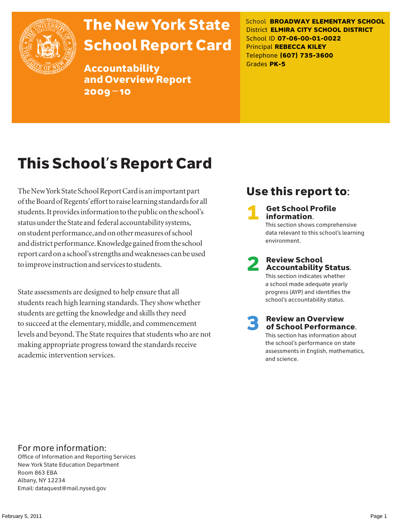

# The New York State School Report Card

Accountability and Overview Report 2009–10

School **BROADWAY ELEMENTARY SCHOOL** District **ELMIRA CITY SCHOOL DISTRICT** School ID **07-06-00-01-0022** Principal **REBECCA KILEY** Telephone **(607) 735-3600** Grades **PK-5**

# This School's Report Card

The New York State School Report Card is an important part of the Board of Regents' effort to raise learning standards for all students. It provides information to the public on the school's status under the State and federal accountability systems, on student performance, and on other measures of school and district performance. Knowledge gained from the school report card on a school's strengths and weaknesses can be used to improve instruction and services to students.

State assessments are designed to help ensure that all students reach high learning standards. They show whether students are getting the knowledge and skills they need to succeed at the elementary, middle, and commencement levels and beyond. The State requires that students who are not making appropriate progress toward the standards receive academic intervention services.

### Use this report to:

**Get School Profile** information. This section shows comprehensive data relevant to this school's learning environment.

# 2 Review School Accountability Status.

This section indicates whether a school made adequate yearly progress (AYP) and identifies the school's accountability status.

3 Review an Overview of School Performance. This section has information about

the school's performance on state assessments in English, mathematics, and science.

### For more information:

Office of Information and Reporting Services New York State Education Department Room 863 EBA Albany, NY 12234 Email: dataquest@mail.nysed.gov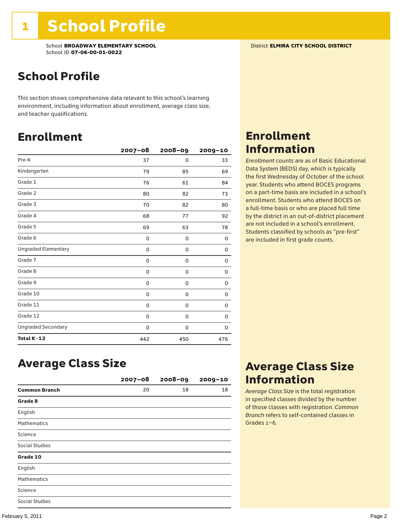### School Profile

This section shows comprehensive data relevant to this school's learning environment, including information about enrollment, average class size, and teacher qualifications.

### Enrollment

|                            | $2007 - 08$ | 2008-09     | 2009-10 |
|----------------------------|-------------|-------------|---------|
| Pre-K                      | 37          | 0           | 33      |
| Kindergarten               | 79          | 85          | 69      |
| Grade 1                    | 76          | 61          | 84      |
| Grade 2                    | 80          | 82          | 73      |
| Grade 3                    | 70          | 82          | 80      |
| Grade 4                    | 68          | 77          | 92      |
| Grade 5                    | 69          | 63          | 78      |
| Grade 6                    | 0           | 0           | 0       |
| <b>Ungraded Elementary</b> | 0           | $\mathbf 0$ | 0       |
| Grade 7                    | 0           | $\mathbf 0$ | 0       |
| Grade 8                    | 0           | 0           | 0       |
| Grade 9                    | 0           | 0           | 0       |
| Grade 10                   | 0           | 0           | 0       |
| Grade 11                   | 0           | 0           | 0       |
| Grade 12                   | 0           | 0           | 0       |
| <b>Ungraded Secondary</b>  | 0           | 0           | 0       |
| Total K-12                 | 442         | 450         | 476     |

### Enrollment Information

*Enrollment* counts are as of Basic Educational Data System (BEDS) day, which is typically the first Wednesday of October of the school year. Students who attend BOCES programs on a part-time basis are included in a school's enrollment. Students who attend BOCES on a full-time basis or who are placed full time by the district in an out-of-district placement are not included in a school's enrollment. Students classified by schools as "pre-first" are included in first grade counts.

### Average Class Size

|                      | $2007 - 08$ | $2008 - 09$ | $2009 - 10$ |
|----------------------|-------------|-------------|-------------|
| <b>Common Branch</b> | 20          | 18          | 18          |
| Grade 8              |             |             |             |
| English              |             |             |             |
| <b>Mathematics</b>   |             |             |             |
| Science              |             |             |             |
| Social Studies       |             |             |             |
| Grade 10             |             |             |             |
| English              |             |             |             |
| <b>Mathematics</b>   |             |             |             |
| Science              |             |             |             |
| Social Studies       |             |             |             |

### Average Class Size Information

*Average Class Size* is the total registration in specified classes divided by the number of those classes with registration. *Common Branch* refers to self-contained classes in Grades 1–6.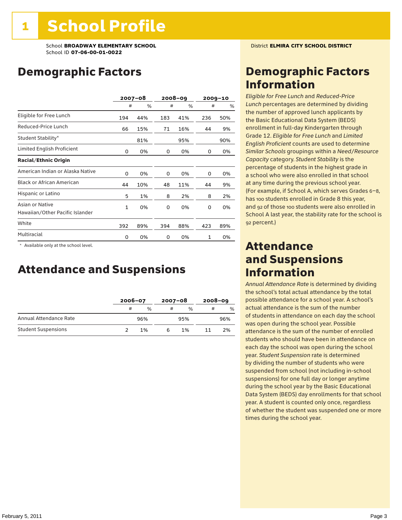### Demographic Factors

|                                                    |     | $2007 - 08$ |     | 2008-09 |              | $2009 - 10$ |  |
|----------------------------------------------------|-----|-------------|-----|---------|--------------|-------------|--|
|                                                    | #   | %           | #   | %       | #            | %           |  |
| Eligible for Free Lunch                            | 194 | 44%         | 183 | 41%     | 236          | 50%         |  |
| Reduced-Price Lunch                                | 66  | 15%         | 71  | 16%     | 44           | 9%          |  |
| Student Stability*                                 |     | 81%         |     | 95%     |              | 90%         |  |
| Limited English Proficient                         | 0   | 0%          | 0   | 0%      | 0            | 0%          |  |
| <b>Racial/Ethnic Origin</b>                        |     |             |     |         |              |             |  |
| American Indian or Alaska Native                   | 0   | 0%          | 0   | 0%      | 0            | 0%          |  |
| <b>Black or African American</b>                   | 44  | 10%         | 48  | 11%     | 44           | 9%          |  |
| Hispanic or Latino                                 | 5   | 1%          | 8   | 2%      | 8            | 2%          |  |
| Asian or Native<br>Hawaiian/Other Pacific Islander | 1   | 0%          | 0   | 0%      | 0            | 0%          |  |
| White                                              | 392 | 89%         | 394 | 88%     | 423          | 89%         |  |
| Multiracial                                        | 0   | 0%          | 0   | 0%      | $\mathbf{1}$ | 0%          |  |

 \* Available only at the school level.

### Attendance and Suspensions

|                            |   | $2006 - 07$   |   | $2007 - 08$   |   | $2008 - 09$ |  |
|----------------------------|---|---------------|---|---------------|---|-------------|--|
|                            | # | $\frac{0}{0}$ | # | $\frac{0}{6}$ | # | %           |  |
| Annual Attendance Rate     |   | 96%           |   | 95%           |   | 96%         |  |
| <b>Student Suspensions</b> |   | 1%            |   | 1%            |   | 2%          |  |

### Demographic Factors Information

*Eligible for Free Lunch* and *Reduced*-*Price Lunch* percentages are determined by dividing the number of approved lunch applicants by the Basic Educational Data System (BEDS) enrollment in full-day Kindergarten through Grade 12. *Eligible for Free Lunch* and *Limited English Proficient* counts are used to determine *Similar Schools* groupings within a *Need*/*Resource Capacity* category. *Student Stability* is the percentage of students in the highest grade in a school who were also enrolled in that school at any time during the previous school year. (For example, if School A, which serves Grades 6–8, has 100 students enrolled in Grade 8 this year, and 92 of those 100 students were also enrolled in School A last year, the stability rate for the school is 92 percent.)

### Attendance and Suspensions Information

*Annual Attendance Rate* is determined by dividing the school's total actual attendance by the total possible attendance for a school year. A school's actual attendance is the sum of the number of students in attendance on each day the school was open during the school year. Possible attendance is the sum of the number of enrolled students who should have been in attendance on each day the school was open during the school year. *Student Suspension* rate is determined by dividing the number of students who were suspended from school (not including in-school suspensions) for one full day or longer anytime during the school year by the Basic Educational Data System (BEDS) day enrollments for that school year. A student is counted only once, regardless of whether the student was suspended one or more times during the school year.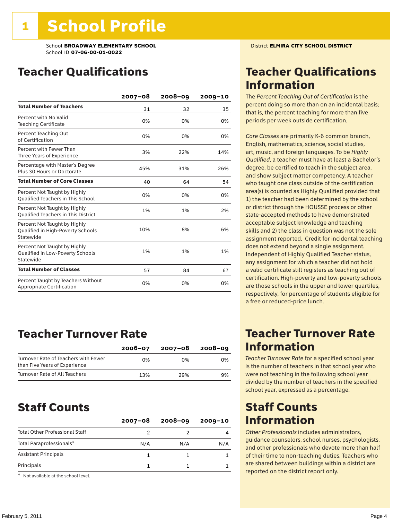### Teacher Qualifications

|                                                                                | $2007 - 08$ | 2008-09 | $2009 - 10$ |
|--------------------------------------------------------------------------------|-------------|---------|-------------|
| <b>Total Number of Teachers</b>                                                | 31          | 32      | 35          |
| Percent with No Valid<br><b>Teaching Certificate</b>                           | 0%          | 0%      | 0%          |
| Percent Teaching Out<br>of Certification                                       | 0%          | 0%      | 0%          |
| Percent with Fewer Than<br>Three Years of Experience                           | 3%          | 22%     | 14%         |
| Percentage with Master's Degree<br>Plus 30 Hours or Doctorate                  | 45%         | 31%     | 26%         |
| <b>Total Number of Core Classes</b>                                            | 40          | 64      | 54          |
| Percent Not Taught by Highly<br><b>Oualified Teachers in This School</b>       | 0%          | 0%      | 0%          |
| Percent Not Taught by Highly<br><b>Oualified Teachers in This District</b>     | 1%          | 1%      | 2%          |
| Percent Not Taught by Highly<br>Qualified in High-Poverty Schools<br>Statewide | 10%         | 8%      | 6%          |
| Percent Not Taught by Highly<br>Qualified in Low-Poverty Schools<br>Statewide  | 1%          | 1%      | 1%          |
| <b>Total Number of Classes</b>                                                 | 57          | 84      | 67          |
| Percent Taught by Teachers Without<br>Appropriate Certification                | 0%          | 0%      | 0%          |

### Teacher Turnover Rate

|                                                                       | $2006 - 07$ | 2007-08 | 2008-09 |
|-----------------------------------------------------------------------|-------------|---------|---------|
| Turnover Rate of Teachers with Fewer<br>than Five Years of Experience | በ%          | በ%      | በ%      |
| Turnover Rate of All Teachers                                         | 13%         | 29%     | 9%      |

### Staff Counts

|                                       | $2007 - 08$ | $2008 - 09$ | $2009 - 10$ |
|---------------------------------------|-------------|-------------|-------------|
| <b>Total Other Professional Staff</b> |             |             |             |
| Total Paraprofessionals*              | N/A         | N/A         | N/A         |
| <b>Assistant Principals</b>           |             |             |             |
| Principals                            |             |             |             |

\* Not available at the school level.

### Teacher Qualifications Information

The *Percent Teaching Out of Certification* is the percent doing so more than on an incidental basis; that is, the percent teaching for more than five periods per week outside certification.

*Core Classes* are primarily K-6 common branch, English, mathematics, science, social studies, art, music, and foreign languages. To be *Highly Qualified*, a teacher must have at least a Bachelor's degree, be certified to teach in the subject area, and show subject matter competency. A teacher who taught one class outside of the certification area(s) is counted as Highly Qualified provided that 1) the teacher had been determined by the school or district through the HOUSSE process or other state-accepted methods to have demonstrated acceptable subject knowledge and teaching skills and 2) the class in question was not the sole assignment reported. Credit for incidental teaching does not extend beyond a single assignment. Independent of Highly Qualified Teacher status, any assignment for which a teacher did not hold a valid certificate still registers as teaching out of certification. High-poverty and low-poverty schools are those schools in the upper and lower quartiles, respectively, for percentage of students eligible for a free or reduced-price lunch.

### Teacher Turnover Rate Information

*Teacher Turnover Rate* for a specified school year is the number of teachers in that school year who were not teaching in the following school year divided by the number of teachers in the specified school year, expressed as a percentage.

### Staff Counts Information

*Other Professionals* includes administrators, guidance counselors, school nurses, psychologists, and other professionals who devote more than half of their time to non-teaching duties. Teachers who are shared between buildings within a district are reported on the district report only.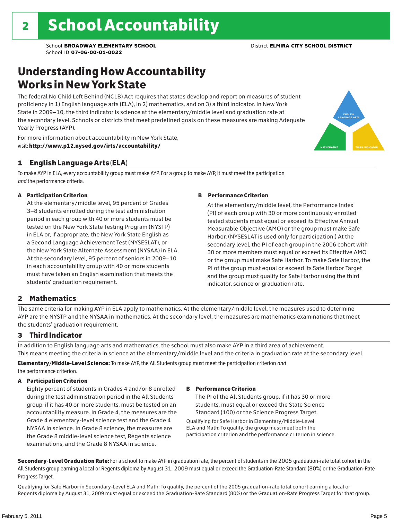### Understanding How Accountability Works in New York State

The federal No Child Left Behind (NCLB) Act requires that states develop and report on measures of student proficiency in 1) English language arts (ELA), in 2) mathematics, and on 3) a third indicator. In New York State in 2009–10, the third indicator is science at the elementary/middle level and graduation rate at the secondary level. Schools or districts that meet predefined goals on these measures are making Adequate Yearly Progress (AYP).

For more information about accountability in New York State, visit: http://www.p12.nysed.gov/irts/accountability/

### 1 English Language Arts (ELA)

To make AYP in ELA, every accountability group must make AYP. For a group to make AYP, it must meet the participation *and* the performance criteria.

#### A Participation Criterion

At the elementary/middle level, 95 percent of Grades 3–8 students enrolled during the test administration period in each group with 40 or more students must be tested on the New York State Testing Program (NYSTP) in ELA or, if appropriate, the New York State English as a Second Language Achievement Test (NYSESLAT), or the New York State Alternate Assessment (NYSAA) in ELA. At the secondary level, 95 percent of seniors in 2009–10 in each accountability group with 40 or more students must have taken an English examination that meets the students' graduation requirement.

#### B Performance Criterion

At the elementary/middle level, the Performance Index (PI) of each group with 30 or more continuously enrolled tested students must equal or exceed its Effective Annual Measurable Objective (AMO) or the group must make Safe Harbor. (NYSESLAT is used only for participation.) At the secondary level, the PI of each group in the 2006 cohort with 30 or more members must equal or exceed its Effective AMO or the group must make Safe Harbor. To make Safe Harbor, the PI of the group must equal or exceed its Safe Harbor Target and the group must qualify for Safe Harbor using the third indicator, science or graduation rate.

### 2 Mathematics

The same criteria for making AYP in ELA apply to mathematics. At the elementary/middle level, the measures used to determine AYP are the NYSTP and the NYSAA in mathematics. At the secondary level, the measures are mathematics examinations that meet the students' graduation requirement.

#### 3 Third Indicator

In addition to English language arts and mathematics, the school must also make AYP in a third area of achievement. This means meeting the criteria in science at the elementary/middle level and the criteria in graduation rate at the secondary level.

Elementary/Middle-Level Science: To make AYP, the All Students group must meet the participation criterion *and* the performance criterion.

#### A Participation Criterion

Eighty percent of students in Grades 4 and/or 8 enrolled during the test administration period in the All Students group, if it has 40 or more students, must be tested on an accountability measure. In Grade 4, the measures are the Grade 4 elementary-level science test and the Grade 4 NYSAA in science. In Grade 8 science, the measures are the Grade 8 middle-level science test, Regents science examinations, and the Grade 8 NYSAA in science.

#### B Performance Criterion

The PI of the All Students group, if it has 30 or more students, must equal or exceed the State Science Standard (100) or the Science Progress Target.

Qualifying for Safe Harbor in Elementary/Middle-Level ELA and Math: To qualify, the group must meet both the participation criterion and the performance criterion in science.

Secondary-Level Graduation Rate: For a school to make AYP in graduation rate, the percent of students in the 2005 graduation-rate total cohort in the All Students group earning a local or Regents diploma by August 31, 2009 must equal or exceed the Graduation-Rate Standard (80%) or the Graduation-Rate Progress Target.

Qualifying for Safe Harbor in Secondary-Level ELA and Math: To qualify, the percent of the 2005 graduation-rate total cohort earning a local or Regents diploma by August 31, 2009 must equal or exceed the Graduation-Rate Standard (80%) or the Graduation-Rate Progress Target for that group.

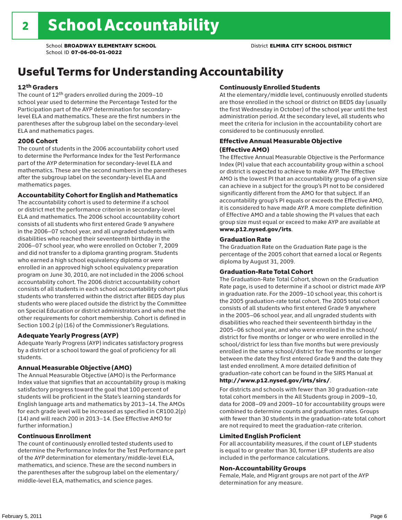## Useful Terms for Understanding Accountability

#### 12th Graders

The count of 12th graders enrolled during the 2009–10 school year used to determine the Percentage Tested for the Participation part of the AYP determination for secondarylevel ELA and mathematics. These are the first numbers in the parentheses after the subgroup label on the secondary-level ELA and mathematics pages.

#### 2006 Cohort

The count of students in the 2006 accountability cohort used to determine the Performance Index for the Test Performance part of the AYP determination for secondary-level ELA and mathematics. These are the second numbers in the parentheses after the subgroup label on the secondary-level ELA and mathematics pages.

#### Accountability Cohort for English and Mathematics

The accountability cohort is used to determine if a school or district met the performance criterion in secondary-level ELA and mathematics. The 2006 school accountability cohort consists of all students who first entered Grade 9 anywhere in the 2006–07 school year, and all ungraded students with disabilities who reached their seventeenth birthday in the 2006–07 school year, who were enrolled on October 7, 2009 and did not transfer to a diploma granting program. Students who earned a high school equivalency diploma or were enrolled in an approved high school equivalency preparation program on June 30, 2010, are not included in the 2006 school accountability cohort. The 2006 district accountability cohort consists of all students in each school accountability cohort plus students who transferred within the district after BEDS day plus students who were placed outside the district by the Committee on Special Education or district administrators and who met the other requirements for cohort membership. Cohort is defined in Section 100.2 (p) (16) of the Commissioner's Regulations.

#### Adequate Yearly Progress (AYP)

Adequate Yearly Progress (AYP) indicates satisfactory progress by a district or a school toward the goal of proficiency for all students.

#### Annual Measurable Objective (AMO)

The Annual Measurable Objective (AMO) is the Performance Index value that signifies that an accountability group is making satisfactory progress toward the goal that 100 percent of students will be proficient in the State's learning standards for English language arts and mathematics by 2013–14. The AMOs for each grade level will be increased as specified in CR100.2(p) (14) and will reach 200 in 2013–14. (See Effective AMO for further information.)

#### Continuous Enrollment

The count of continuously enrolled tested students used to determine the Performance Index for the Test Performance part of the AYP determination for elementary/middle-level ELA, mathematics, and science. These are the second numbers in the parentheses after the subgroup label on the elementary/ middle-level ELA, mathematics, and science pages.

#### Continuously Enrolled Students

At the elementary/middle level, continuously enrolled students are those enrolled in the school or district on BEDS day (usually the first Wednesday in October) of the school year until the test administration period. At the secondary level, all students who meet the criteria for inclusion in the accountability cohort are considered to be continuously enrolled.

#### Effective Annual Measurable Objective (Effective AMO)

The Effective Annual Measurable Objective is the Performance Index (PI) value that each accountability group within a school or district is expected to achieve to make AYP. The Effective AMO is the lowest PI that an accountability group of a given size can achieve in a subject for the group's PI not to be considered significantly different from the AMO for that subject. If an accountability group's PI equals or exceeds the Effective AMO, it is considered to have made AYP. A more complete definition of Effective AMO and a table showing the PI values that each group size must equal or exceed to make AYP are available at www.p12.nysed.gov/irts.

#### Graduation Rate

The Graduation Rate on the Graduation Rate page is the percentage of the 2005 cohort that earned a local or Regents diploma by August 31, 2009.

#### Graduation-Rate Total Cohort

The Graduation-Rate Total Cohort, shown on the Graduation Rate page, is used to determine if a school or district made AYP in graduation rate. For the 2009–10 school year, this cohort is the 2005 graduation-rate total cohort. The 2005 total cohort consists of all students who first entered Grade 9 anywhere in the 2005–06 school year, and all ungraded students with disabilities who reached their seventeenth birthday in the 2005–06 school year, and who were enrolled in the school/ district for five months or longer or who were enrolled in the school/district for less than five months but were previously enrolled in the same school/district for five months or longer between the date they first entered Grade 9 and the date they last ended enrollment. A more detailed definition of graduation-rate cohort can be found in the SIRS Manual at

#### http://www.p12.nysed.gov/irts/sirs/.

For districts and schools with fewer than 30 graduation-rate total cohort members in the All Students group in 2009–10, data for 2008–09 and 2009–10 for accountability groups were combined to determine counts and graduation rates. Groups with fewer than 30 students in the graduation-rate total cohort are not required to meet the graduation-rate criterion.

#### Limited English Proficient

For all accountability measures, if the count of LEP students is equal to or greater than 30, former LEP students are also included in the performance calculations.

#### Non-Accountability Groups

Female, Male, and Migrant groups are not part of the AYP determination for any measure.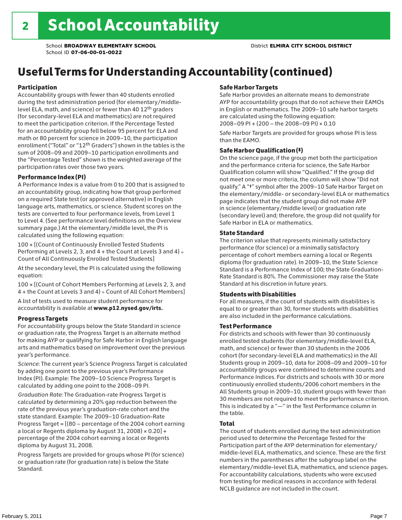## Useful Terms for Understanding Accountability (continued)

#### Participation

Accountability groups with fewer than 40 students enrolled during the test administration period (for elementary/middlelevel ELA, math, and science) or fewer than 40 12th graders (for secondary-level ELA and mathematics) are not required to meet the participation criterion. If the Percentage Tested for an accountability group fell below 95 percent for ELA and math or 80 percent for science in 2009–10, the participation enrollment ("Total" or "12th Graders") shown in the tables is the sum of 2008–09 and 2009–10 participation enrollments and the "Percentage Tested" shown is the weighted average of the participation rates over those two years.

#### Performance Index (PI)

A Performance Index is a value from 0 to 200 that is assigned to an accountability group, indicating how that group performed on a required State test (or approved alternative) in English language arts, mathematics, or science. Student scores on the tests are converted to four performance levels, from Level 1 to Level 4. (See performance level definitions on the Overview summary page.) At the elementary/middle level, the PI is calculated using the following equation:

100 × [(Count of Continuously Enrolled Tested Students Performing at Levels 2, 3, and  $4 +$  the Count at Levels 3 and  $4) \div$ Count of All Continuously Enrolled Tested Students]

At the secondary level, the PI is calculated using the following equation:

100 × [(Count of Cohort Members Performing at Levels 2, 3, and 4 + the Count at Levels 3 and 4) ÷ Count of All Cohort Members]

A list of tests used to measure student performance for accountability is available at www.p12.nysed.gov/irts.

#### Progress Targets

For accountability groups below the State Standard in science or graduation rate, the Progress Target is an alternate method for making AYP or qualifying for Safe Harbor in English language arts and mathematics based on improvement over the previous year's performance.

*Science:* The current year's Science Progress Target is calculated by adding one point to the previous year's Performance Index (PI). Example: The 2009–10 Science Progress Target is calculated by adding one point to the 2008–09 PI.

*Graduation Rate*: The Graduation-rate Progress Target is calculated by determining a 20% gap reduction between the rate of the previous year's graduation-rate cohort and the state standard. Example: The 2009–10 Graduation-Rate Progress Target = [(80 – percentage of the 2004 cohort earning a local or Regents diploma by August 31, 2008)  $\times$  0.20] + percentage of the 2004 cohort earning a local or Regents diploma by August 31, 2008.

Progress Targets are provided for groups whose PI (for science) or graduation rate (for graduation rate) is below the State Standard.

#### Safe Harbor Targets

Safe Harbor provides an alternate means to demonstrate AYP for accountability groups that do not achieve their EAMOs in English or mathematics. The 2009–10 safe harbor targets are calculated using the following equation: 2008–09 PI + (200 – the 2008–09 PI) × 0.10

Safe Harbor Targets are provided for groups whose PI is less than the EAMO.

#### Safe Harbor Qualification (‡)

On the science page, if the group met both the participation and the performance criteria for science, the Safe Harbor Qualification column will show "Qualified." If the group did not meet one or more criteria, the column will show "Did not qualify." A "‡" symbol after the 2009–10 Safe Harbor Target on the elementary/middle- or secondary-level ELA or mathematics page indicates that the student group did not make AYP in science (elementary/middle level) or graduation rate (secondary level) and; therefore, the group did not qualify for Safe Harbor in ELA or mathematics.

#### State Standard

The criterion value that represents minimally satisfactory performance (for science) or a minimally satisfactory percentage of cohort members earning a local or Regents diploma (for graduation rate). In 2009–10, the State Science Standard is a Performance Index of 100; the State Graduation-Rate Standard is 80%. The Commissioner may raise the State Standard at his discretion in future years.

#### Students with Disabilities

For all measures, if the count of students with disabilities is equal to or greater than 30, former students with disabilities are also included in the performance calculations.

#### Test Performance

For districts and schools with fewer than 30 continuously enrolled tested students (for elementary/middle-level ELA, math, and science) or fewer than 30 students in the 2006 cohort (for secondary-level ELA and mathematics) in the All Students group in 2009–10, data for 2008–09 and 2009–10 for accountability groups were combined to determine counts and Performance Indices. For districts and schools with 30 or more continuously enrolled students/2006 cohort members in the All Students group in 2009–10, student groups with fewer than 30 members are not required to meet the performance criterion. This is indicated by a "—" in the Test Performance column in the table.

#### Total

The count of students enrolled during the test administration period used to determine the Percentage Tested for the Participation part of the AYP determination for elementary/ middle-level ELA, mathematics, and science. These are the first numbers in the parentheses after the subgroup label on the elementary/middle-level ELA, mathematics, and science pages. For accountability calculations, students who were excused from testing for medical reasons in accordance with federal NCLB guidance are not included in the count.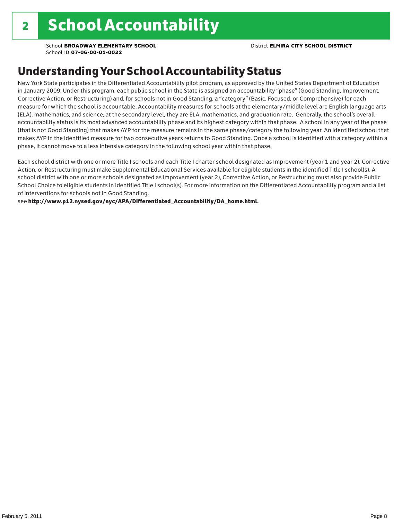### Understanding Your School Accountability Status

New York State participates in the Differentiated Accountability pilot program, as approved by the United States Department of Education in January 2009. Under this program, each public school in the State is assigned an accountability "phase" (Good Standing, Improvement, Corrective Action, or Restructuring) and, for schools not in Good Standing, a "category" (Basic, Focused, or Comprehensive) for each measure for which the school is accountable. Accountability measures for schools at the elementary/middle level are English language arts (ELA), mathematics, and science; at the secondary level, they are ELA, mathematics, and graduation rate. Generally, the school's overall accountability status is its most advanced accountability phase and its highest category within that phase. A school in any year of the phase (that is not Good Standing) that makes AYP for the measure remains in the same phase/category the following year. An identified school that makes AYP in the identified measure for two consecutive years returns to Good Standing. Once a school is identified with a category within a phase, it cannot move to a less intensive category in the following school year within that phase.

Each school district with one or more Title I schools and each Title I charter school designated as Improvement (year 1 and year 2), Corrective Action, or Restructuring must make Supplemental Educational Services available for eligible students in the identified Title I school(s). A school district with one or more schools designated as Improvement (year 2), Corrective Action, or Restructuring must also provide Public School Choice to eligible students in identified Title I school(s). For more information on the Differentiated Accountability program and a list of interventions for schools not in Good Standing,

see http://www.p12.nysed.gov/nyc/APA/Differentiated\_Accountability/DA\_home.html.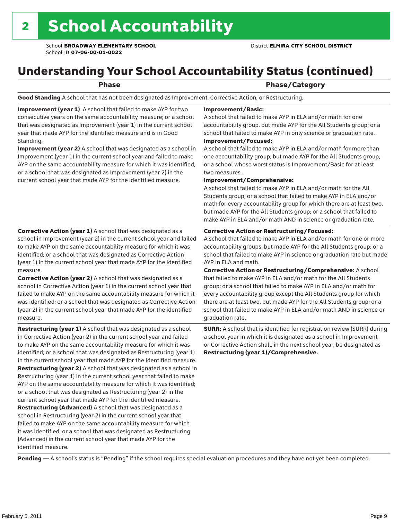## Understanding Your School Accountability Status (continued)

|  | $\sim$ | v |  |
|--|--------|---|--|
|  |        |   |  |

### Phase/Category

Good Standing A school that has not been designated as Improvement, Corrective Action, or Restructuring.

Improvement (year 1) A school that failed to make AYP for two consecutive years on the same accountability measure; or a school that was designated as Improvement (year 1) in the current school year that made AYP for the identified measure and is in Good Standing.

Improvement (year 2) A school that was designated as a school in Improvement (year 1) in the current school year and failed to make AYP on the same accountability measure for which it was identified; or a school that was designated as Improvement (year 2) in the current school year that made AYP for the identified measure.

Corrective Action (year 1) A school that was designated as a school in Improvement (year 2) in the current school year and failed to make AYP on the same accountability measure for which it was identified; or a school that was designated as Corrective Action (year 1) in the current school year that made AYP for the identified

#### Improvement/Basic:

A school that failed to make AYP in ELA and/or math for one accountability group, but made AYP for the All Students group; or a school that failed to make AYP in only science or graduation rate. Improvement/Focused:

A school that failed to make AYP in ELA and/or math for more than one accountability group, but made AYP for the All Students group; or a school whose worst status is Improvement/Basic for at least two measures.

#### Improvement/Comprehensive:

A school that failed to make AYP in ELA and/or math for the All Students group; or a school that failed to make AYP in ELA and/or math for every accountability group for which there are at least two, but made AYP for the All Students group; or a school that failed to make AYP in ELA and/or math AND in science or graduation rate.

#### Corrective Action or Restructuring/Focused:

A school that failed to make AYP in ELA and/or math for one or more accountability groups, but made AYP for the All Students group; or a school that failed to make AYP in science or graduation rate but made AYP in ELA and math.

measure. Corrective Action (year 2) A school that was designated as a school in Corrective Action (year 1) in the current school year that failed to make AYP on the same accountability measure for which it was identified; or a school that was designated as Corrective Action (year 2) in the current school year that made AYP for the identified measure.

Restructuring (year 1) A school that was designated as a school in Corrective Action (year 2) in the current school year and failed to make AYP on the same accountability measure for which it was identified; or a school that was designated as Restructuring (year 1) in the current school year that made AYP for the identified measure. Restructuring (year 2) A school that was designated as a school in Restructuring (year 1) in the current school year that failed to make AYP on the same accountability measure for which it was identified; or a school that was designated as Restructuring (year 2) in the current school year that made AYP for the identified measure. Restructuring (Advanced) A school that was designated as a school in Restructuring (year 2) in the current school year that failed to make AYP on the same accountability measure for which it was identified; or a school that was designated as Restructuring (Advanced) in the current school year that made AYP for the identified measure.

Corrective Action or Restructuring/Comprehensive: A school that failed to make AYP in ELA and/or math for the All Students group; or a school that failed to make AYP in ELA and/or math for every accountability group except the All Students group for which there are at least two, but made AYP for the All Students group; or a school that failed to make AYP in ELA and/or math AND in science or graduation rate.

SURR: A school that is identified for registration review (SURR) during a school year in which it is designated as a school in Improvement or Corrective Action shall, in the next school year, be designated as Restructuring (year 1)/Comprehensive.

Pending - A school's status is "Pending" if the school requires special evaluation procedures and they have not yet been completed.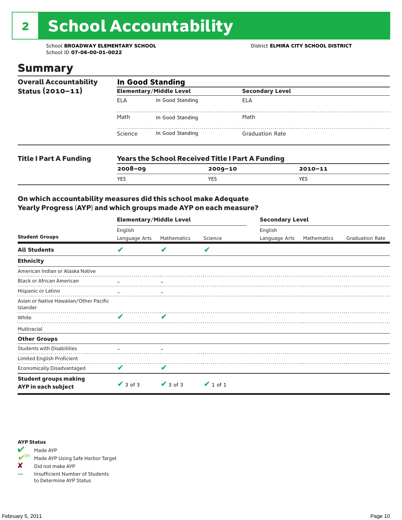# 2 School Accountability

School **BROADWAY ELEMENTARY SCHOOL** District **ELMIRA CITY SCHOOL DISTRICT** School ID **07-06-00-01-0022**

### Summary

| <b>Overall Accountability</b> | <b>In Good Standing</b> |                                                         |                        |  |  |
|-------------------------------|-------------------------|---------------------------------------------------------|------------------------|--|--|
| Status $(2010 - 11)$          |                         | <b>Elementary/Middle Level</b>                          | <b>Secondary Level</b> |  |  |
|                               | ELA                     | In Good Standing                                        | ELA                    |  |  |
|                               | Math                    | In Good Standing                                        | Math                   |  |  |
|                               | Science                 | In Good Standing                                        | <b>Graduation Rate</b> |  |  |
| <b>Title I Part A Funding</b> |                         | <b>Years the School Received Title I Part A Funding</b> |                        |  |  |

| . <u>.</u> |         |         |         |  |  |
|------------|---------|---------|---------|--|--|
|            | 2008-09 | 2009-10 | 2010-11 |  |  |
|            | YES     | YES     | YES     |  |  |
|            |         |         |         |  |  |

#### On which accountability measures did this school make Adequate Yearly Progress (AYP) and which groups made AYP on each measure?

|                                                     | <b>Elementary/Middle Level</b> |               |               |               | <b>Secondary Level</b> |                        |  |
|-----------------------------------------------------|--------------------------------|---------------|---------------|---------------|------------------------|------------------------|--|
|                                                     | English                        |               |               | English       |                        |                        |  |
| <b>Student Groups</b>                               | Language Arts                  | Mathematics   | Science       | Language Arts | Mathematics            | <b>Graduation Rate</b> |  |
| <b>All Students</b>                                 | V                              |               | V             |               |                        |                        |  |
| <b>Ethnicity</b>                                    |                                |               |               |               |                        |                        |  |
| American Indian or Alaska Native                    |                                |               |               |               |                        |                        |  |
| <b>Black or African American</b>                    |                                |               |               |               |                        |                        |  |
| Hispanic or Latino                                  |                                |               |               |               |                        |                        |  |
| Asian or Native Hawaiian/Other Pacific<br>Islander  |                                |               |               |               |                        |                        |  |
| White                                               |                                |               |               |               |                        |                        |  |
| Multiracial                                         |                                |               |               |               |                        |                        |  |
| <b>Other Groups</b>                                 |                                |               |               |               |                        |                        |  |
| <b>Students with Disabilities</b>                   |                                |               |               |               |                        |                        |  |
| Limited English Proficient                          |                                |               |               |               |                        |                        |  |
| Economically Disadvantaged                          | V                              | V             |               |               |                        |                        |  |
| <b>Student groups making</b><br>AYP in each subject | $\sqrt{3}$ of 3                | $\vee$ 3 of 3 | $\vee$ 1 of 1 |               |                        |                        |  |



Made AYP Using Safe Harbor Target

✘ Did not make AYP

— Insufficient Number of Students to Determine AYP Status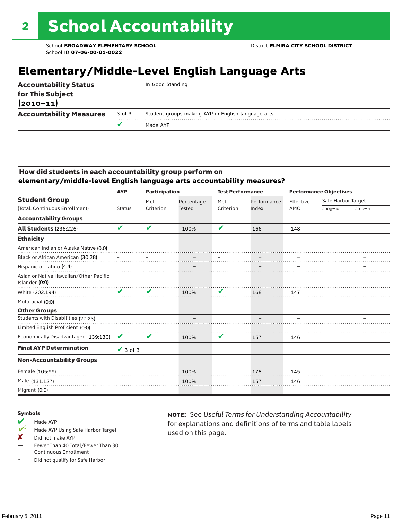## **Elementary/Middle-Level English Language Arts**

| $(2010 - 11)$                                                                                  |  |
|------------------------------------------------------------------------------------------------|--|
| <b>Accountability Measures</b><br>Student groups making AYP in English language arts<br>3 of 3 |  |
| Made AYP                                                                                       |  |

#### How did students in each accountability group perform on **elementary/middle-level English language arts accountability measures?**

|                                                          | <b>AYP</b>    | <b>Participation</b> |               | <b>Test Performance</b> |             |           | <b>Performance Objectives</b> |             |
|----------------------------------------------------------|---------------|----------------------|---------------|-------------------------|-------------|-----------|-------------------------------|-------------|
| <b>Student Group</b>                                     |               | Met                  | Percentage    | Met                     | Performance | Effective | Safe Harbor Target            |             |
| (Total: Continuous Enrollment)                           | <b>Status</b> | Criterion            | <b>Tested</b> | Criterion               | Index       | AMO       | $2009 - 10$                   | $2010 - 11$ |
| <b>Accountability Groups</b>                             |               |                      |               |                         |             |           |                               |             |
| <b>All Students (236:226)</b>                            | V             | V                    | 100%          | V                       | 166         | 148       |                               |             |
| <b>Ethnicity</b>                                         |               |                      |               |                         |             |           |                               |             |
| American Indian or Alaska Native (0:0)                   |               |                      |               |                         |             |           |                               |             |
| Black or African American (30:28)                        |               |                      |               |                         |             |           |                               |             |
| Hispanic or Latino (4:4)                                 |               |                      |               |                         |             |           |                               |             |
| Asian or Native Hawaiian/Other Pacific<br>Islander (0:0) |               |                      |               |                         |             |           |                               |             |
| White (202:194)                                          | V             | V                    | 100%          | V                       | 168         | 147       |                               |             |
| Multiracial (0:0)                                        |               |                      |               |                         |             |           |                               |             |
| <b>Other Groups</b>                                      |               |                      |               |                         |             |           |                               |             |
| Students with Disabilities (27:23)                       |               |                      |               |                         |             |           |                               |             |
| Limited English Proficient (0:0)                         |               |                      |               |                         |             |           |                               |             |
| Economically Disadvantaged (139:130)                     | V             | V                    | 100%          | V                       | 157         | 146       |                               |             |
| <b>Final AYP Determination</b>                           | $\vee$ 3 of 3 |                      |               |                         |             |           |                               |             |
| <b>Non-Accountability Groups</b>                         |               |                      |               |                         |             |           |                               |             |
| Female (105:99)                                          |               |                      | 100%          |                         | 178         | 145       |                               |             |
| Male (131:127)                                           |               |                      | 100%          |                         | 157         | 146       |                               |             |
| Migrant (0:0)                                            |               |                      |               |                         |             |           |                               |             |

#### Symbols

- Made AYP<br> **V**SH Made AVP Made AYP Using Safe Harbor Target
- X Did not make AYP
- Fewer Than 40 Total/Fewer Than 30 Continuous Enrollment
- ‡ Did not qualify for Safe Harbor

note: See *Useful Terms for Understanding Accountability*  for explanations and definitions of terms and table labels used on this page.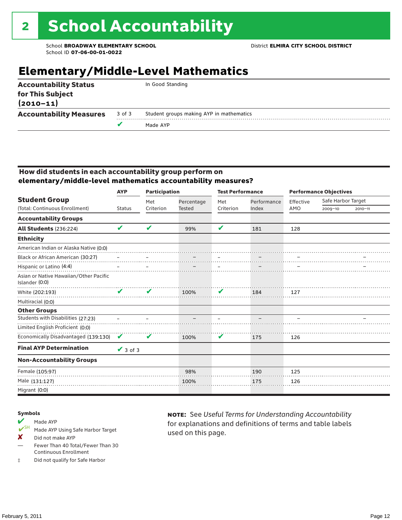### **Elementary/Middle-Level Mathematics**

| <b>Accountability Measures</b><br>3 of 3                                              | Student groups making AYP in mathematics |
|---------------------------------------------------------------------------------------|------------------------------------------|
| <b>Accountability Status</b><br>In Good Standing<br>for This Subject<br>$(2010 - 11)$ |                                          |

#### How did students in each accountability group perform on **elementary/middle-level mathematics accountability measures?**

|                                                          | <b>AYP</b>      | <b>Participation</b> |            | <b>Test Performance</b> |             |           | <b>Performance Objectives</b> |             |
|----------------------------------------------------------|-----------------|----------------------|------------|-------------------------|-------------|-----------|-------------------------------|-------------|
| <b>Student Group</b>                                     |                 | Met                  | Percentage | Met                     | Performance | Effective | Safe Harbor Target            |             |
| (Total: Continuous Enrollment)                           | <b>Status</b>   | Criterion            | Tested     | Criterion               | Index       | AMO       | 2009-10                       | $2010 - 11$ |
| <b>Accountability Groups</b>                             |                 |                      |            |                         |             |           |                               |             |
| <b>All Students (236:224)</b>                            | V               | V                    | 99%        | $\mathbf{v}$            | 181         | 128       |                               |             |
| <b>Ethnicity</b>                                         |                 |                      |            |                         |             |           |                               |             |
| American Indian or Alaska Native (0:0)                   |                 |                      |            |                         |             |           |                               |             |
| Black or African American (30:27)                        |                 |                      |            |                         |             |           |                               |             |
| Hispanic or Latino (4:4)                                 |                 |                      |            |                         |             |           |                               |             |
| Asian or Native Hawaiian/Other Pacific<br>Islander (0:0) |                 |                      |            |                         |             |           |                               |             |
| White (202:193)                                          | V               | V                    | 100%       | V                       | 184         | 127       |                               |             |
| Multiracial (0:0)                                        |                 |                      |            |                         |             |           |                               |             |
| <b>Other Groups</b>                                      |                 |                      |            |                         |             |           |                               |             |
| Students with Disabilities (27:23)                       |                 |                      |            |                         |             |           |                               |             |
| Limited English Proficient (0:0)                         |                 |                      |            |                         |             |           |                               |             |
| Economically Disadvantaged (139:130)                     | V               | V                    | 100%       | V                       | 175         | 126       |                               |             |
| <b>Final AYP Determination</b>                           | $\sqrt{3}$ of 3 |                      |            |                         |             |           |                               |             |
| <b>Non-Accountability Groups</b>                         |                 |                      |            |                         |             |           |                               |             |
| Female (105:97)                                          |                 |                      | 98%        |                         | 190         | 125       |                               |             |
| Male (131:127)                                           |                 |                      | 100%       |                         | 175         | 126       |                               |             |
| Migrant (0:0)                                            |                 |                      |            |                         |             |           |                               |             |

#### Symbols

- Made AYP<br> **V**SH Made AVP Made AYP Using Safe Harbor Target
- X Did not make AYP
- Fewer Than 40 Total/Fewer Than 30 Continuous Enrollment
- ‡ Did not qualify for Safe Harbor

note: See *Useful Terms for Understanding Accountability*  for explanations and definitions of terms and table labels used on this page.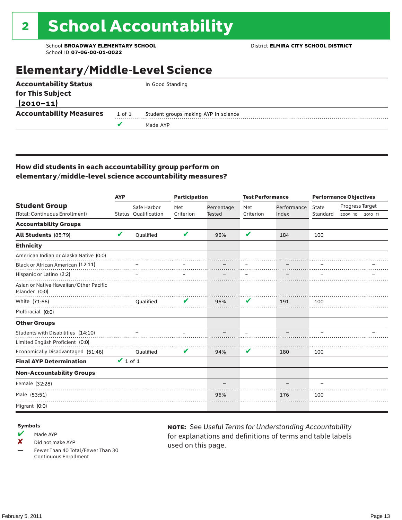### Elementary/Middle-Level Science

| <b>Accountability Status</b>   |        | In Good Standing                     |
|--------------------------------|--------|--------------------------------------|
| for This Subject               |        |                                      |
| $(2010 - 11)$                  |        |                                      |
| <b>Accountability Measures</b> | 1 of 1 | Student groups making AYP in science |
|                                |        | Made AYP                             |
|                                |        |                                      |

### How did students in each accountability group perform on elementary/middle-level science accountability measures?

|                                                                        | <b>AYP</b>    |                      | <b>Participation</b> |            | <b>Test Performance</b> |             | <b>Performance Objectives</b> |                 |         |
|------------------------------------------------------------------------|---------------|----------------------|----------------------|------------|-------------------------|-------------|-------------------------------|-----------------|---------|
| <b>Student Group</b>                                                   |               | Safe Harbor          | Met                  | Percentage | Met                     | Performance | State                         | Progress Target |         |
| (Total: Continuous Enrollment)                                         |               | Status Qualification | Criterion            | Tested     | Criterion               | Index       | Standard                      | 2009-10         | 2010-11 |
| <b>Accountability Groups</b>                                           |               |                      |                      |            |                         |             |                               |                 |         |
| All Students (85:79)                                                   | V             | Oualified            | V                    | 96%        | V                       | 184         | 100                           |                 |         |
| <b>Ethnicity</b>                                                       |               |                      |                      |            |                         |             |                               |                 |         |
| American Indian or Alaska Native (0:0)                                 |               |                      |                      |            |                         |             |                               |                 |         |
| Black or African American (12:11)                                      |               |                      |                      |            |                         |             |                               |                 |         |
| Hispanic or Latino (2:2)                                               |               |                      |                      |            |                         |             |                               |                 |         |
| Asian or Native Hawaiian/Other Pacific<br>Islander (0:0)               |               |                      |                      |            |                         |             |                               |                 |         |
| White (71:66)                                                          |               | Oualified            |                      | 96%        | V                       | 191         | 100                           |                 |         |
| Multiracial (0:0)                                                      |               |                      |                      |            |                         |             |                               |                 |         |
| <b>Other Groups</b>                                                    |               |                      |                      |            |                         |             |                               |                 |         |
| Students with Disabilities (14:10)<br>Limited English Proficient (0:0) |               |                      |                      |            |                         |             |                               |                 |         |
| Economically Disadvantaged (51:46)                                     |               | Oualified            | V                    | 94%        | V                       | 180         | 100                           |                 |         |
| <b>Final AYP Determination</b>                                         | $\vee$ 1 of 1 |                      |                      |            |                         |             |                               |                 |         |
| <b>Non-Accountability Groups</b>                                       |               |                      |                      |            |                         |             |                               |                 |         |
| Female (32:28)                                                         |               |                      |                      |            |                         |             |                               |                 |         |
| Male (53:51)                                                           |               |                      |                      | 96%        |                         | 176         | 100                           |                 |         |
| Migrant (0:0)                                                          |               |                      |                      |            |                         |             |                               |                 |         |

#### Symbols

- $M$  Made AYP
- X Did not make AYP
- Fewer Than 40 Total/Fewer Than 30 Continuous Enrollment

note: See *Useful Terms for Understanding Accountability*  for explanations and definitions of terms and table labels used on this page.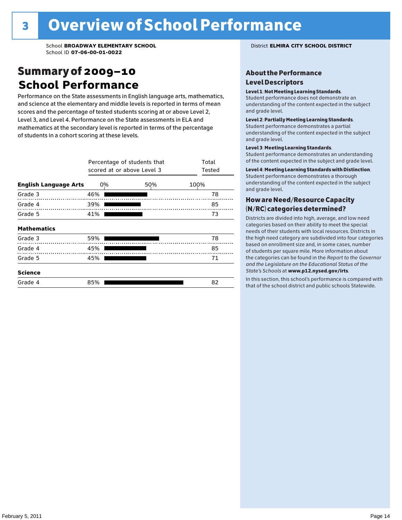### Summary of 2009–10 **School Performance**

Performance on the State assessments in English language arts, mathematics, and science at the elementary and middle levels is reported in terms of mean scores and the percentage of tested students scoring at or above Level 2, Level 3, and Level 4. Performance on the State assessments in ELA and mathematics at the secondary level is reported in terms of the percentage of students in a cohort scoring at these levels.

|                              |     | Percentage of students that<br>scored at or above Level 3 | Total<br>Tested |
|------------------------------|-----|-----------------------------------------------------------|-----------------|
| <b>English Language Arts</b> | 0%  | 50%                                                       | 100%            |
| Grade 3                      | 46% |                                                           | 78              |
| Grade 4                      | 39% |                                                           | 85              |
| Grade 5                      | 41% |                                                           | 73              |
| <b>Mathematics</b>           |     |                                                           |                 |
| Grade 3                      | 59% |                                                           | 78              |
| Grade 4                      | 45% |                                                           | 85              |
| Grade 5                      | 45% |                                                           | 71              |
| <b>Science</b>               |     |                                                           |                 |
| Grade 4                      | 85% |                                                           | 82              |

#### About the Performance Level Descriptors

#### Level 1: Not Meeting Learning Standards.

Student performance does not demonstrate an understanding of the content expected in the subject and grade level.

#### Level 2: Partially Meeting Learning Standards.

Student performance demonstrates a partial understanding of the content expected in the subject and grade level.

#### Level 3: Meeting Learning Standards.

Student performance demonstrates an understanding of the content expected in the subject and grade level.

#### Level 4: Meeting Learning Standards with Distinction.

Student performance demonstrates a thorough understanding of the content expected in the subject and grade level.

#### How are Need/Resource Capacity (N/RC) categories determined?

Districts are divided into high, average, and low need categories based on their ability to meet the special needs of their students with local resources. Districts in the high need category are subdivided into four categories based on enrollment size and, in some cases, number of students per square mile. More information about the categories can be found in the *Report to the Governor and the Legislature on the Educational Status of the*  State's Schools at www.p12.nysed.gov/irts.

In this section, this school's performance is compared with<br>that of the school district and multigarhaals Statemide In this section, this school's performance is compared that of the school district and public schools Statewide.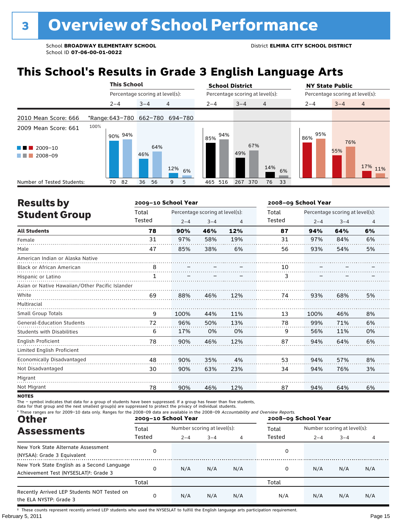## **This School's Results in Grade 3 English Language Arts**

|                                                                                                                                                                            |                                 | <b>This School</b> |         |                                 |         | <b>School District</b>          |         |     |                |          | <b>NY State Public</b>          |            |                |
|----------------------------------------------------------------------------------------------------------------------------------------------------------------------------|---------------------------------|--------------------|---------|---------------------------------|---------|---------------------------------|---------|-----|----------------|----------|---------------------------------|------------|----------------|
|                                                                                                                                                                            |                                 |                    |         | Percentage scoring at level(s): |         | Percentage scoring at level(s): |         |     |                |          | Percentage scoring at level(s): |            |                |
|                                                                                                                                                                            | $2 - 4$                         |                    | $3 - 4$ | $\overline{4}$                  |         | $2 - 4$                         | $3 - 4$ |     | $\overline{4}$ |          | $2 - 4$                         | $3 - 4$    | $\overline{4}$ |
| 2010 Mean Score: 666                                                                                                                                                       | *Range: 643-780 662-780 694-780 |                    |         |                                 |         |                                 |         |     |                |          |                                 |            |                |
| 2009 Mean Score: 661<br>$\blacksquare$ 2009-10<br>a kacamatan ing Kabupatèn Kabupatèn Ing Kabupatèn Kabupatèn Kabupatèn Kabupatèn Kabupatèn Kabupatèn Kabupatèn<br>2008-09 | 100%                            | 90% 94%            | 46%     | 64%                             |         | 94%<br>85%                      | 49%     | 67% |                |          | 95%<br>86%                      | 76%<br>55% |                |
| Number of Tested Students:                                                                                                                                                 | 70                              | 82                 | 36      | 12%<br>56<br>9                  | 6%<br>5 | 465 516                         | 267 370 |     | 14%<br>76      | 6%<br>33 |                                 |            | 17% 11%        |

| <b>Results by</b>                               |              | 2009-10 School Year |                                 |     |        | 2008-09 School Year |                                 |                |
|-------------------------------------------------|--------------|---------------------|---------------------------------|-----|--------|---------------------|---------------------------------|----------------|
| <b>Student Group</b>                            | Total        |                     | Percentage scoring at level(s): |     | Total  |                     | Percentage scoring at level(s): |                |
|                                                 | Tested       | $2 - 4$             | $3 - 4$                         | 4   | Tested | $2 - 4$             | $3 - 4$                         | $\overline{4}$ |
| <b>All Students</b>                             | 78           | 90%                 | 46%                             | 12% | 87     | 94%                 | 64%                             | 6%             |
| Female                                          | 31           | 97%                 | 58%                             | 19% | 31     | 97%                 | 84%                             | 6%             |
| Male                                            | 47           | 85%                 | 38%                             | 6%  | 56     | 93%                 | 54%                             | 5%             |
| American Indian or Alaska Native                |              |                     |                                 |     |        |                     |                                 |                |
| Black or African American                       | 8            |                     |                                 |     | 10     |                     |                                 |                |
| Hispanic or Latino                              | $\mathbf{1}$ |                     |                                 |     | 3      |                     |                                 |                |
| Asian or Native Hawaiian/Other Pacific Islander |              |                     |                                 |     |        |                     |                                 |                |
| White                                           | 69           | 88%                 | 46%                             | 12% | 74     | 93%                 | 68%                             | 5%             |
| Multiracial                                     |              |                     |                                 |     |        |                     |                                 |                |
| Small Group Totals                              | 9            | 100%                | 44%                             | 11% | 13     | 100%                | 46%                             | 8%             |
| <b>General-Education Students</b>               | 72           | 96%                 | 50%                             | 13% | 78     | 99%                 | 71%                             | 6%             |
| <b>Students with Disabilities</b>               | 6            | 17%                 | 0%                              | 0%  | 9      | 56%                 | 11%                             | 0%             |
| <b>English Proficient</b>                       | 78           | 90%                 | 46%                             | 12% | 87     | 94%                 | 64%                             | 6%             |
| Limited English Proficient                      |              |                     |                                 |     |        |                     |                                 |                |
| <b>Economically Disadvantaged</b>               | 48           | 90%                 | 35%                             | 4%  | 53     | 94%                 | 57%                             | 8%             |
| Not Disadvantaged                               | 30           | 90%                 | 63%                             | 23% | 34     | 94%                 | 76%                             | 3%             |
| Migrant                                         |              |                     |                                 |     |        |                     |                                 |                |
| Not Migrant                                     | 78           | 90%                 | 46%                             | 12% | 87     | 94%                 | 64%                             | 6%             |

**NOTES** 

The – symbol indicates that data for a group of students have been suppressed. If a group has fewer than five students,<br>data for that group and the next smallest group(s) are suppressed to protect the privacy of individual

| * These ranges are for 2009-10 data only. Ranges for the 2008-09 data are available in the 2008-09 Accountability and Overview Reports.<br><b>Other</b> |        | 2009-10 School Year         |         |                | 2008-09 School Year |                             |         |     |
|---------------------------------------------------------------------------------------------------------------------------------------------------------|--------|-----------------------------|---------|----------------|---------------------|-----------------------------|---------|-----|
| <b>Assessments</b>                                                                                                                                      | Total  | Number scoring at level(s): |         |                | Total               | Number scoring at level(s): |         |     |
|                                                                                                                                                         | Tested | $2 - 4$                     | $3 - 4$ | $\overline{4}$ | Tested              | $2 - 4$                     | $3 - 4$ |     |
| New York State Alternate Assessment<br>(NYSAA): Grade 3 Equivalent                                                                                      | 0      |                             |         |                | 0                   |                             |         |     |
| New York State English as a Second Language<br>Achievement Test (NYSESLAT) <sup>+</sup> : Grade 3                                                       | 0      | N/A                         | N/A     | N/A            | 0                   | N/A                         | N/A     | N/A |
|                                                                                                                                                         | Total  |                             |         |                | Total               |                             |         |     |
| Recently Arrived LEP Students NOT Tested on<br>the ELA NYSTP: Grade 3                                                                                   | 0      | N/A                         | N/A     | N/A            | N/A                 | N/A                         | N/A     | N/A |

February 5, 2011 **Page 15** † These counts represent recently arrived LEP students who used the NYSESLAT to fulfill the English language arts participation requirement.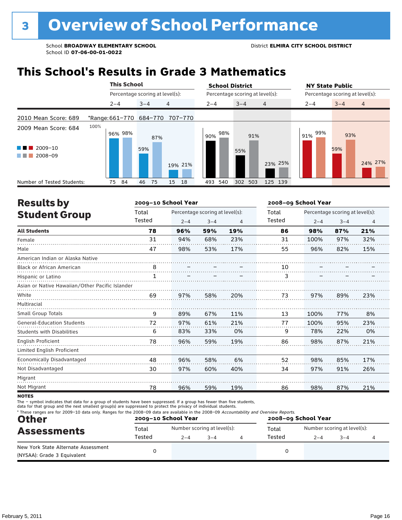### **This School's Results in Grade 3 Mathematics**

|                                                 |      | <b>This School</b> |         |                                 | <b>School District</b> |                                 |                | <b>NY State Public</b>          |         |                |
|-------------------------------------------------|------|--------------------|---------|---------------------------------|------------------------|---------------------------------|----------------|---------------------------------|---------|----------------|
|                                                 |      |                    |         | Percentage scoring at level(s): |                        | Percentage scoring at level(s): |                | Percentage scoring at level(s): |         |                |
|                                                 |      | $2 - 4$            | $3 - 4$ | $\overline{4}$                  | $2 - 4$                | $3 - 4$                         | $\overline{4}$ | $2 - 4$                         | $3 - 4$ | $\overline{4}$ |
| 2010 Mean Score: 689                            |      |                    |         | *Range: 661-770 684-770 707-770 |                        |                                 |                |                                 |         |                |
| 2009 Mean Score: 684                            | 100% | 96% 98%            |         | 87%                             | 98%<br>90%             | 91%                             |                | 99%<br>91%                      | 93%     |                |
| $2009 - 10$<br>a sa Bara<br>2008-09<br>a sa Tan |      |                    | 59%     | 19% 21%                         |                        | 55%                             | 23% 25%        |                                 | 59%     | 24% 27%        |
| Number of Tested Students:                      |      | 84<br>75           | 46      | 75<br>15<br>18                  | 540<br>493             | 302<br>503                      | 125 139        |                                 |         |                |

| <b>Results by</b>                               |        | 2009-10 School Year             |         |     | 2008-09 School Year |         |                                 |                |  |  |
|-------------------------------------------------|--------|---------------------------------|---------|-----|---------------------|---------|---------------------------------|----------------|--|--|
| <b>Student Group</b>                            | Total  | Percentage scoring at level(s): |         |     | Total               |         | Percentage scoring at level(s): |                |  |  |
|                                                 | Tested | $2 - 4$                         | $3 - 4$ | 4   | Tested              | $2 - 4$ | $3 - 4$                         | $\overline{4}$ |  |  |
| <b>All Students</b>                             | 78     | 96%                             | 59%     | 19% | 86                  | 98%     | 87%                             | 21%            |  |  |
| Female                                          | 31     | 94%                             | 68%     | 23% | 31                  | 100%    | 97%                             | 32%            |  |  |
| Male                                            | 47     | 98%                             | 53%     | 17% | 55                  | 96%     | 82%                             | 15%            |  |  |
| American Indian or Alaska Native                |        |                                 |         |     |                     |         |                                 |                |  |  |
| <b>Black or African American</b>                | 8      |                                 |         |     | 10                  |         |                                 |                |  |  |
| Hispanic or Latino                              | 1      |                                 |         |     | 3                   |         |                                 |                |  |  |
| Asian or Native Hawaiian/Other Pacific Islander |        |                                 |         |     |                     |         |                                 |                |  |  |
| White                                           | 69     | 97%                             | 58%     | 20% | 73                  | 97%     | 89%                             | 23%            |  |  |
| Multiracial                                     |        |                                 |         |     |                     |         |                                 |                |  |  |
| Small Group Totals                              | 9      | 89%                             | 67%     | 11% | 13                  | 100%    | 77%                             | 8%             |  |  |
| <b>General-Education Students</b>               | 72     | 97%                             | 61%     | 21% | 77                  | 100%    | 95%                             | 23%            |  |  |
| <b>Students with Disabilities</b>               | 6      | 83%                             | 33%     | 0%  | 9                   | 78%     | 22%                             | 0%             |  |  |
| English Proficient                              | 78     | 96%                             | 59%     | 19% | 86                  | 98%     | 87%                             | 21%            |  |  |
| Limited English Proficient                      |        |                                 |         |     |                     |         |                                 |                |  |  |
| Economically Disadvantaged                      | 48     | 96%                             | 58%     | 6%  | 52                  | 98%     | 85%                             | 17%            |  |  |
| Not Disadvantaged                               | 30     | 97%                             | 60%     | 40% | 34                  | 97%     | 91%                             | 26%            |  |  |
| Migrant                                         |        |                                 |         |     |                     |         |                                 |                |  |  |
| Not Migrant                                     | 78     | 96%                             | 59%     | 19% | 86                  | 98%     | 87%                             | 21%            |  |  |

**NOTES** 

The – symbol indicates that data for a group of students have been suppressed. If a group has fewer than five students,<br>data for that group and the next smallest group(s) are suppressed to protect the privacy of individual

| <b>Other</b>                                                       |        | 2009-10 School Year |                             | 2008-09 School Year |        |         |                             |  |
|--------------------------------------------------------------------|--------|---------------------|-----------------------------|---------------------|--------|---------|-----------------------------|--|
| <b>Assessments</b>                                                 | Total  |                     | Number scoring at level(s): |                     | Total  |         | Number scoring at level(s): |  |
|                                                                    | Tested | $2 - 4$             | $3 - 4$                     |                     | Tested | $2 - 4$ | $3 - 4$                     |  |
| New York State Alternate Assessment<br>(NYSAA): Grade 3 Equivalent |        |                     |                             |                     |        |         |                             |  |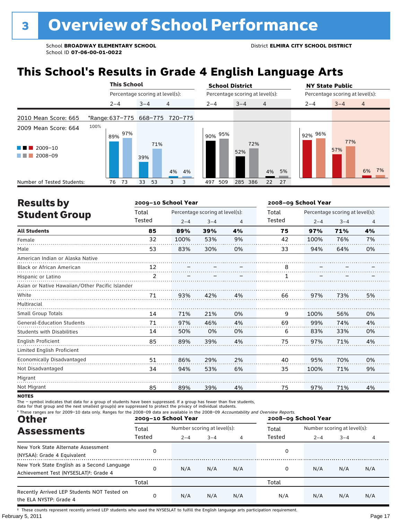## **This School's Results in Grade 4 English Language Arts**

|                                                                        |      | <b>This School</b><br>Percentage scoring at level(s): |     |         |     |                                 | <b>School District</b>          |            |                | <b>NY State Public</b> |                                 |                |  |
|------------------------------------------------------------------------|------|-------------------------------------------------------|-----|---------|-----|---------------------------------|---------------------------------|------------|----------------|------------------------|---------------------------------|----------------|--|
|                                                                        |      |                                                       |     |         |     |                                 | Percentage scoring at level(s): |            |                |                        | Percentage scoring at level(s): |                |  |
|                                                                        |      | $2 - 4$                                               |     | $3 - 4$ |     | $\overline{4}$                  | $2 - 4$                         | $3 - 4$    | $\overline{4}$ | $2 - 4$                | $3 - 4$                         | $\overline{4}$ |  |
| 2010 Mean Score: 665                                                   |      |                                                       |     |         |     | *Range: 637-775 668-775 720-775 |                                 |            |                |                        |                                 |                |  |
| 2009 Mean Score: 664<br>2009-10<br><b>Contract Contract</b><br>2008-09 | 100% | 89%                                                   | 97% | 39%     | 71% | 4% 4%                           | 90% 95%                         | 72%<br>52% | 5%<br>4%       | 92% 96%                | 77%<br>57%                      | 7%<br>6%       |  |
| Number of Tested Students:                                             |      | 76                                                    | 73  | 33      | 53  | 3<br>3                          | 509<br>497                      | 285<br>386 | 22 27          |                        |                                 |                |  |

| <b>Results by</b>                               |                | 2009-10 School Year |                                 | 2008-09 School Year |        |         |                                 |                |
|-------------------------------------------------|----------------|---------------------|---------------------------------|---------------------|--------|---------|---------------------------------|----------------|
| <b>Student Group</b>                            | Total          |                     | Percentage scoring at level(s): |                     | Total  |         | Percentage scoring at level(s): |                |
|                                                 | Tested         | $2 - 4$             | $3 - 4$                         | 4                   | Tested | $2 - 4$ | $3 - 4$                         | $\overline{4}$ |
| <b>All Students</b>                             | 85             | 89%                 | 39%                             | 4%                  | 75     | 97%     | 71%                             | 4%             |
| Female                                          | 32             | 100%                | 53%                             | 9%                  | 42     | 100%    | 76%                             | 7%             |
| Male                                            | 53             | 83%                 | 30%                             | 0%                  | 33     | 94%     | 64%                             | 0%             |
| American Indian or Alaska Native                |                |                     |                                 |                     |        |         |                                 |                |
| Black or African American                       | 12             |                     |                                 |                     | 8      |         |                                 |                |
| Hispanic or Latino                              | $\overline{2}$ |                     |                                 |                     |        |         |                                 |                |
| Asian or Native Hawaiian/Other Pacific Islander |                |                     |                                 |                     |        |         |                                 |                |
| White                                           | 71             | 93%                 | 42%                             | 4%                  | 66     | 97%     | 73%                             | 5%             |
| Multiracial                                     |                |                     |                                 |                     |        |         |                                 |                |
| Small Group Totals                              | 14             | 71%                 | 21%                             | 0%                  | 9      | 100%    | 56%                             | 0%             |
| <b>General-Education Students</b>               | 71             | 97%                 | 46%                             | 4%                  | 69     | 99%     | 74%                             | 4%             |
| <b>Students with Disabilities</b>               | 14             | 50%                 | 0%                              | 0%                  | 6      | 83%     | 33%                             | 0%             |
| <b>English Proficient</b>                       | 85             | 89%                 | 39%                             | 4%                  | 75     | 97%     | 71%                             | 4%             |
| Limited English Proficient                      |                |                     |                                 |                     |        |         |                                 |                |
| <b>Economically Disadvantaged</b>               | 51             | 86%                 | 29%                             | 2%                  | 40     | 95%     | 70%                             | 0%             |
| Not Disadvantaged                               | 34             | 94%                 | 53%                             | 6%                  | 35     | 100%    | 71%                             | 9%             |
| Migrant                                         |                |                     |                                 |                     |        |         |                                 |                |
| Not Migrant                                     | 85             | 89%                 | 39%                             | 4%                  | 75     | 97%     | 71%                             | 4%             |

**NOTES** 

The – symbol indicates that data for a group of students have been suppressed. If a group has fewer than five students,<br>data for that group and the next smallest group(s) are suppressed to protect the privacy of individual

| * These ranges are for 2009-10 data only. Ranges for the 2008-09 data are available in the 2008-09 Accountability and Overview Reports.<br><b>Other</b> |        | 2009-10 School Year         |         |     | 2008-09 School Year |                             |         |     |  |
|---------------------------------------------------------------------------------------------------------------------------------------------------------|--------|-----------------------------|---------|-----|---------------------|-----------------------------|---------|-----|--|
| <b>Assessments</b>                                                                                                                                      | Total  | Number scoring at level(s): |         |     | Total               | Number scoring at level(s): |         |     |  |
|                                                                                                                                                         | Tested | $2 - 4$                     | $3 - 4$ |     | Tested              | $2 - 4$                     | $3 - 4$ |     |  |
| New York State Alternate Assessment<br>(NYSAA): Grade 4 Equivalent                                                                                      | 0      |                             |         |     | 0                   |                             |         |     |  |
| New York State English as a Second Language<br>Achievement Test (NYSESLAT) <sup>+</sup> : Grade 4                                                       | 0      | N/A                         | N/A     | N/A | 0                   | N/A                         | N/A     | N/A |  |
|                                                                                                                                                         | Total  |                             |         |     | Total               |                             |         |     |  |
| Recently Arrived LEP Students NOT Tested on<br>the ELA NYSTP: Grade 4                                                                                   | 0      | N/A                         | N/A     | N/A | N/A                 | N/A                         | N/A     | N/A |  |

February 5, 2011 **Page 17** † These counts represent recently arrived LEP students who used the NYSESLAT to fulfill the English language arts participation requirement.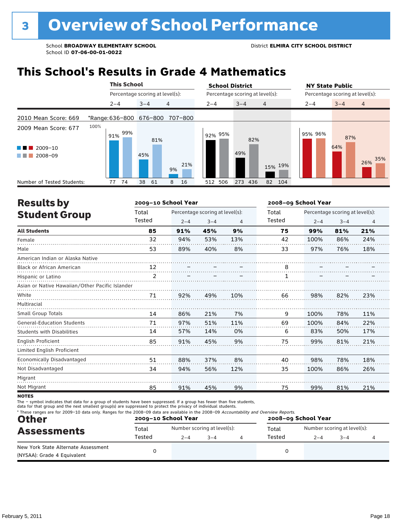### **This School's Results in Grade 4 Mathematics**

|                                                |                         | <b>This School</b> |         |                                 | <b>School District</b> |                                 |         | <b>NY State Public</b><br>Percentage scoring at level(s): |  |  |  |
|------------------------------------------------|-------------------------|--------------------|---------|---------------------------------|------------------------|---------------------------------|---------|-----------------------------------------------------------|--|--|--|
|                                                |                         |                    |         | Percentage scoring at level(s): |                        | Percentage scoring at level(s): |         |                                                           |  |  |  |
|                                                |                         | $2 - 4$            | $3 - 4$ | $\overline{4}$                  | $2 - 4$                | $3 - 4$<br>$\overline{4}$       | $2 - 4$ | $3 - 4$<br>$\overline{4}$                                 |  |  |  |
| 2010 Mean Score: 669                           | *Range: 636-800 676-800 |                    |         | 707-800                         |                        |                                 |         |                                                           |  |  |  |
| 2009 Mean Score: 677<br>$2009 - 10$<br>2008-09 | 100%<br>91%             | 99%                | 45%     | 81%<br>21%<br>9%                | 92% 95%                | 82%<br>49%<br>15% 19%           | 95% 96% | 87%<br>64%<br>35%<br>26%                                  |  |  |  |
| Number of Tested Students:                     | 77                      | 74                 | 38      | 61<br>16<br>8                   | 512 506                | 273<br>436<br>82 104            |         |                                                           |  |  |  |

| <b>Results by</b>                               |        | 2009-10 School Year |                                 |     | 2008-09 School Year |                                 |         |     |  |
|-------------------------------------------------|--------|---------------------|---------------------------------|-----|---------------------|---------------------------------|---------|-----|--|
| <b>Student Group</b>                            | Total  |                     | Percentage scoring at level(s): |     | Total               | Percentage scoring at level(s): |         |     |  |
|                                                 | Tested | $2 - 4$             | $3 - 4$                         | 4   | Tested              | $2 - 4$                         | $3 - 4$ | 4   |  |
| <b>All Students</b>                             | 85     | 91%                 | 45%                             | 9%  | 75                  | 99%                             | 81%     | 21% |  |
| Female                                          | 32     | 94%                 | 53%                             | 13% | 42                  | 100%                            | 86%     | 24% |  |
| Male                                            | 53     | 89%                 | 40%                             | 8%  | 33                  | 97%                             | 76%     | 18% |  |
| American Indian or Alaska Native                |        |                     |                                 |     |                     |                                 |         |     |  |
| <b>Black or African American</b>                | 12     |                     |                                 |     | 8                   |                                 |         |     |  |
| Hispanic or Latino                              | 2      |                     |                                 |     |                     |                                 |         |     |  |
| Asian or Native Hawaiian/Other Pacific Islander |        |                     |                                 |     |                     |                                 |         |     |  |
| White                                           | 71     | 92%                 | 49%                             | 10% | 66                  | 98%                             | 82%     | 23% |  |
| Multiracial                                     |        |                     |                                 |     |                     |                                 |         |     |  |
| <b>Small Group Totals</b>                       | 14     | 86%                 | 21%                             | 7%  | 9                   | 100%                            | 78%     | 11% |  |
| <b>General-Education Students</b>               | 71     | 97%                 | 51%                             | 11% | 69                  | 100%                            | 84%     | 22% |  |
| <b>Students with Disabilities</b>               | 14     | 57%                 | 14%                             | 0%  | 6                   | 83%                             | 50%     | 17% |  |
| <b>English Proficient</b>                       | 85     | 91%                 | 45%                             | 9%  | 75                  | 99%                             | 81%     | 21% |  |
| Limited English Proficient                      |        |                     |                                 |     |                     |                                 |         |     |  |
| Economically Disadvantaged                      | 51     | 88%                 | 37%                             | 8%  | 40                  | 98%                             | 78%     | 18% |  |
| Not Disadvantaged                               | 34     | 94%                 | 56%                             | 12% | 35                  | 100%                            | 86%     | 26% |  |
| Migrant                                         |        |                     |                                 |     |                     |                                 |         |     |  |
| Not Migrant                                     | 85     | 91%                 | 45%                             | 9%  | 75                  | 99%                             | 81%     | 21% |  |

**NOTES** 

The – symbol indicates that data for a group of students have been suppressed. If a group has fewer than five students,<br>data for that group and the next smallest group(s) are suppressed to protect the privacy of individual

| <b>Other</b>                                                       |        | 2009-10 School Year |                             | * These ranges are for 2009-10 data only. Ranges for the 2008-09 data are available in the 2008-09 Accountability and Overview Reports.<br>2008-09 School Year |        |                             |      |  |  |
|--------------------------------------------------------------------|--------|---------------------|-----------------------------|----------------------------------------------------------------------------------------------------------------------------------------------------------------|--------|-----------------------------|------|--|--|
| <b>Assessments</b>                                                 | Total  |                     | Number scoring at level(s): |                                                                                                                                                                | Total  | Number scoring at level(s): |      |  |  |
|                                                                    | Tested | $2 - 4$             | $3 - 4$                     |                                                                                                                                                                | Tested | 2–4                         | $-4$ |  |  |
| New York State Alternate Assessment<br>(NYSAA): Grade 4 Equivalent |        |                     |                             |                                                                                                                                                                |        |                             |      |  |  |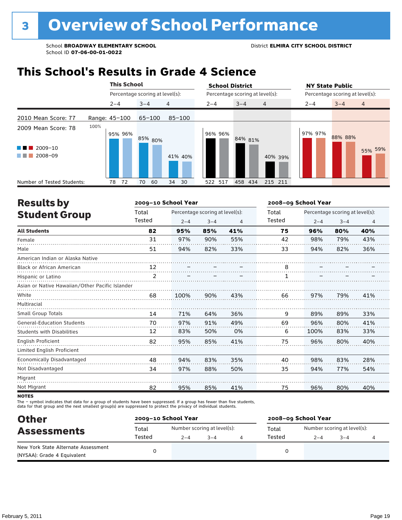### **This School's Results in Grade 4 Science**

|                                                                                              | <b>This School</b> |                                 |    |          |                |            | <b>School District</b>          |         |                | <b>NY State Public</b>          |         |                |  |
|----------------------------------------------------------------------------------------------|--------------------|---------------------------------|----|----------|----------------|------------|---------------------------------|---------|----------------|---------------------------------|---------|----------------|--|
|                                                                                              |                    | Percentage scoring at level(s): |    |          |                |            | Percentage scoring at level(s): |         |                | Percentage scoring at level(s): |         |                |  |
|                                                                                              |                    | $2 - 4$                         |    | $3 - 4$  | $\overline{4}$ |            | $2 - 4$                         | $3 - 4$ | $\overline{4}$ | $2 - 4$                         | $3 - 4$ | $\overline{4}$ |  |
| 2010 Mean Score: 77                                                                          | Range: 45-100      |                                 |    | 65-100   |                | $85 - 100$ |                                 |         |                |                                 |         |                |  |
| 2009 Mean Score: 78<br>2009-10<br>a kacamatan ing Kabupatèn Kabupatèn<br>2008-09<br>a sa Tan | 100%               | 95% 96%                         |    | 85% 80%  |                | 41% 40%    | 96% 96%                         | 84% 81% | 40% 39%        | 97% 97%                         | 88% 88% | 55% 59%        |  |
| Number of Tested Students:                                                                   |                    | 78                              | 72 | 70<br>60 |                | 30<br>34   | 522 517                         | 458 434 | 215 211        |                                 |         |                |  |

| <b>Results by</b>                               |                | 2009-10 School Year |                                 |     | 2008-09 School Year |                                 |         |     |  |
|-------------------------------------------------|----------------|---------------------|---------------------------------|-----|---------------------|---------------------------------|---------|-----|--|
| <b>Student Group</b>                            | Total          |                     | Percentage scoring at level(s): |     | Total               | Percentage scoring at level(s): |         |     |  |
|                                                 | Tested         | $2 - 4$             | $3 - 4$                         | 4   | Tested              | $2 - 4$                         | $3 - 4$ | 4   |  |
| <b>All Students</b>                             | 82             | 95%                 | 85%                             | 41% | 75                  | 96%                             | 80%     | 40% |  |
| Female                                          | 31             | 97%                 | 90%                             | 55% | 42                  | 98%                             | 79%     | 43% |  |
| Male                                            | 51             | 94%                 | 82%                             | 33% | 33                  | 94%                             | 82%     | 36% |  |
| American Indian or Alaska Native                |                |                     |                                 |     |                     |                                 |         |     |  |
| <b>Black or African American</b>                | 12             |                     |                                 |     | 8                   |                                 |         |     |  |
| Hispanic or Latino                              | $\overline{2}$ |                     |                                 |     |                     |                                 |         |     |  |
| Asian or Native Hawaiian/Other Pacific Islander |                |                     |                                 |     |                     |                                 |         |     |  |
| White                                           | 68             | 100%                | 90%                             | 43% | 66                  | 97%                             | 79%     | 41% |  |
| Multiracial                                     |                |                     |                                 |     |                     |                                 |         |     |  |
| Small Group Totals                              | 14             | 71%                 | 64%                             | 36% | 9                   | 89%                             | 89%     | 33% |  |
| <b>General-Education Students</b>               | 70             | 97%                 | 91%                             | 49% | 69                  | 96%                             | 80%     | 41% |  |
| <b>Students with Disabilities</b>               | 12             | 83%                 | 50%                             | 0%  | 6                   | 100%                            | 83%     | 33% |  |
| English Proficient                              | 82             | 95%                 | 85%                             | 41% | 75                  | 96%                             | 80%     | 40% |  |
| Limited English Proficient                      |                |                     |                                 |     |                     |                                 |         |     |  |
| Economically Disadvantaged                      | 48             | 94%                 | 83%                             | 35% | 40                  | 98%                             | 83%     | 28% |  |
| Not Disadvantaged                               | 34             | 97%                 | 88%                             | 50% | 35                  | 94%                             | 77%     | 54% |  |
| Migrant                                         |                |                     |                                 |     |                     |                                 |         |     |  |
| Not Migrant                                     | 82             | 95%                 | 85%                             | 41% | 75                  | 96%                             | 80%     | 40% |  |

**NOTES** 

The – symbol indicates that data for a group of students have been suppressed. If a group has fewer than five students,<br>data for that group and the next smallest group(s) are suppressed to protect the privacy of individual

| <b>Other</b>                        |        | 2009-10 School Year         |         | 2008-09 School Year |                             |         |  |  |  |
|-------------------------------------|--------|-----------------------------|---------|---------------------|-----------------------------|---------|--|--|--|
| <b>Assessments</b>                  | Total  | Number scoring at level(s): |         | Total               | Number scoring at level(s): |         |  |  |  |
|                                     | Tested | $2 - 4$                     | $3 - 4$ | Tested              | $2 - 4$                     | $3 - 4$ |  |  |  |
| New York State Alternate Assessment |        |                             |         |                     |                             |         |  |  |  |
| (NYSAA): Grade 4 Equivalent         |        |                             |         | 0                   |                             |         |  |  |  |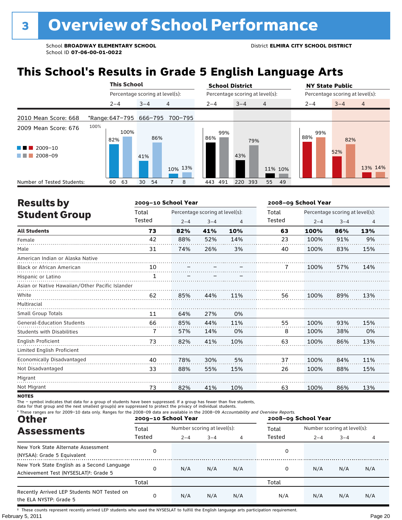## **This School's Results in Grade 5 English Language Arts**

|                                                    | <b>This School</b> |                                 |         |     |                                 |            | <b>School District</b>          |                | <b>NY State Public</b>          |         |                |  |
|----------------------------------------------------|--------------------|---------------------------------|---------|-----|---------------------------------|------------|---------------------------------|----------------|---------------------------------|---------|----------------|--|
|                                                    |                    | Percentage scoring at level(s): |         |     |                                 |            | Percentage scoring at level(s): |                | Percentage scoring at level(s): |         |                |  |
|                                                    |                    | $2 - 4$                         | $3 - 4$ |     | 4                               | $2 - 4$    | $3 - 4$                         | $\overline{4}$ | $2 - 4$                         | $3 - 4$ | $\overline{4}$ |  |
| 2010 Mean Score: 668                               |                    |                                 |         |     | *Range: 647-795 666-795 700-795 |            |                                 |                |                                 |         |                |  |
| 2009 Mean Score: 676                               | 100%               | 100%<br>82%                     |         | 86% |                                 | 99%<br>86% | 79%                             |                | 99%<br>88%                      | 82%     |                |  |
| $2009 - 10$<br><b>Contract Contract</b><br>2008-09 |                    |                                 | 41%     |     | 10% 13%                         |            | 43%                             | 11% 10%        |                                 | 52%     | 13% 14%        |  |
| Number of Tested Students:                         |                    | 63<br>60                        | 30      | 54  | 8                               | 443<br>491 | 220 393                         | 55<br>- 49     |                                 |         |                |  |

| <b>Results by</b>                               |              | 2009-10 School Year |                                 |     | 2008-09 School Year |                                 |         |                |  |  |
|-------------------------------------------------|--------------|---------------------|---------------------------------|-----|---------------------|---------------------------------|---------|----------------|--|--|
| <b>Student Group</b>                            | Total        |                     | Percentage scoring at level(s): |     | Total               | Percentage scoring at level(s): |         |                |  |  |
|                                                 | Tested       | $2 - 4$             | $3 - 4$                         | 4   | Tested              | $2 - 4$                         | $3 - 4$ | $\overline{4}$ |  |  |
| <b>All Students</b>                             | 73           | 82%                 | 41%                             | 10% | 63                  | 100%                            | 86%     | 13%            |  |  |
| Female                                          | 42           | 88%                 | 52%                             | 14% | 23                  | 100%                            | 91%     | 9%             |  |  |
| Male                                            | 31           | 74%                 | 26%                             | 3%  | 40                  | 100%                            | 83%     | 15%            |  |  |
| American Indian or Alaska Native                |              |                     |                                 |     |                     |                                 |         |                |  |  |
| <b>Black or African American</b>                | 10           |                     |                                 |     | 7                   | 100%                            | 57%     | 14%            |  |  |
| Hispanic or Latino                              | $\mathbf{1}$ |                     |                                 |     |                     |                                 |         |                |  |  |
| Asian or Native Hawaiian/Other Pacific Islander |              |                     |                                 |     |                     |                                 |         |                |  |  |
| White                                           | 62           | 85%                 | 44%                             | 11% | 56                  | 100%                            | 89%     | 13%            |  |  |
| Multiracial                                     |              |                     |                                 |     |                     |                                 |         |                |  |  |
| Small Group Totals                              | 11           | 64%                 | 27%                             | 0%  |                     |                                 |         |                |  |  |
| <b>General-Education Students</b>               | 66           | 85%                 | 44%                             | 11% | 55                  | 100%                            | 93%     | 15%            |  |  |
| <b>Students with Disabilities</b>               | 7            | 57%                 | 14%                             | 0%  | 8                   | 100%                            | 38%     | 0%             |  |  |
| English Proficient                              | 73           | 82%                 | 41%                             | 10% | 63                  | 100%                            | 86%     | 13%            |  |  |
| Limited English Proficient                      |              |                     |                                 |     |                     |                                 |         |                |  |  |
| Economically Disadvantaged                      | 40           | 78%                 | 30%                             | 5%  | 37                  | 100%                            | 84%     | 11%            |  |  |
| Not Disadvantaged                               | 33           | 88%                 | 55%                             | 15% | 26                  | 100%                            | 88%     | 15%            |  |  |
| Migrant                                         |              |                     |                                 |     |                     |                                 |         |                |  |  |
| Not Migrant                                     | 73           | 82%                 | 41%                             | 10% | 63                  | 100%                            | 86%     | 13%            |  |  |

**NOTES** 

The – symbol indicates that data for a group of students have been suppressed. If a group has fewer than five students,

data for that group and the next smallest group(s) are suppressed to protect the privacy of individual students.

\* These ranges are for 2009–10 data only. Ranges for the 2008–09 data are available in the 2008–09 Accountability and Overview Reports.<br>2008–09 **2008–09 2008–09** 2008–09 Other **2009–10 School Year 2008–09 School Year** Assessments Total Number scoring at level(s): Total Number scoring at level(s):<br>
Total Number Scoring at Level Containers and Total Development of the Total Development of the Containers of the Total Development of the Tot Total Total Tested Tested 2–4 3–4 4 2–4 3–4 4 New York State Alternate Assessment (NYSAA): Grade 5 Equivalent <sup>0</sup> <sup>0</sup> New York State English as a Second Language Achievement Test (NYSESLAT)†: Grade 5 <sup>0</sup> N/A N/A N/A <sup>0</sup> N/A N/A N/A Total Total Recently Arrived LEP Students NOT Tested on 0 N/A N/A N/A N/A N/A N/A N/A the ELA NYSTP: Grade 5

February 5, 2011 **Page 20** † These counts represent recently arrived LEP students who used the NYSESLAT to fulfill the English language arts participation requirement.